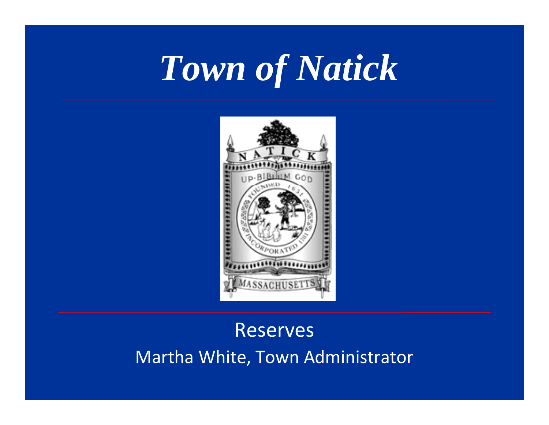# *Town of Natick*



# Reserves Martha White, Town Administrator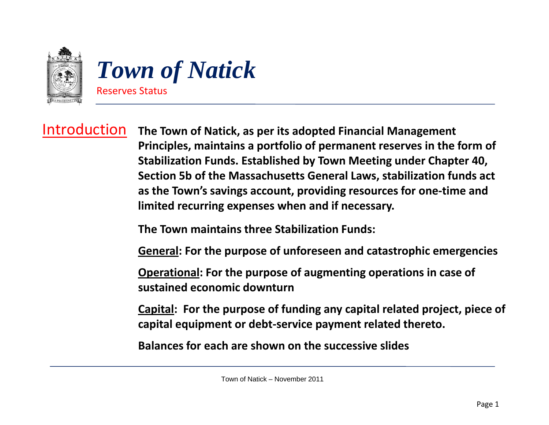

## Introduction

 **The Town of Natick, as per its adopted Financial Management Principles, maintains <sup>a</sup> portfolio of permanent reserves in the form of Stabilization Funds. Established by Town Meeting under Chapter 40, Section 5b of the Massachusetts General Laws, stabilization funds act as the Town's savings account, providing resources for one‐time and limited recurring expenses when and if necessary.**

**The Town maintains three Stabilization Funds:**

**General: For the purpose of unforeseen and catastrophic emergencies**

**Operational: For the purpose of augmenting operations in case of sustained economic downturn**

**Capital: For the purpose of funding any capital related project, piece of capital equipment or debt‐service payment related thereto.**

**Balances for each are shown on the successive slides**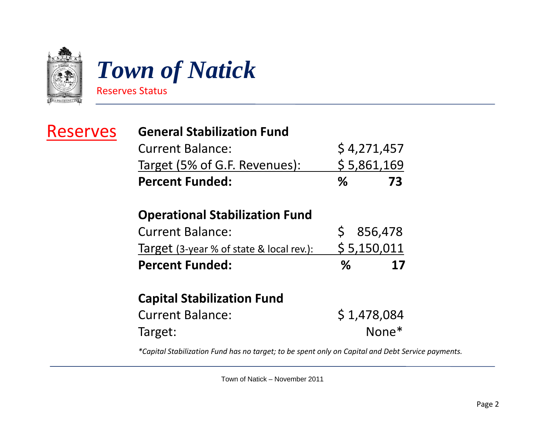

# *Tow of atic n of Natick* Reserves Status

## Reserves

### **General Stabilization Fund**

| <b>Percent Funded:</b>        | ℅ | -73         |
|-------------------------------|---|-------------|
| Target (5% of G.F. Revenues): |   | \$5,861,169 |
| <b>Current Balance:</b>       |   | \$4,271,457 |

### **Operational Stabilization Fund**

| <b>Percent Funded:</b>                   | $\%$ | 17          |
|------------------------------------------|------|-------------|
| Target (3-year % of state & local rev.): |      | \$5,150,011 |
| <b>Current Balance:</b>                  |      | \$856,478   |

### **Capital Stabilization Fund**

| <b>Current Balance:</b> | \$1,478,084 |
|-------------------------|-------------|
| Target:                 | $None*$     |

*\*Capital Stabilization Fund has no target; to be spent only on Capital and Debt Service payments.*

Town of Natick – November 2011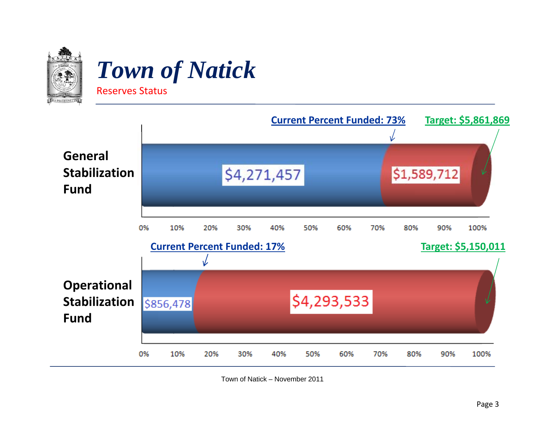

# *Tow of atic n of Natick*

Reserves Status



Town of Natick – November 2011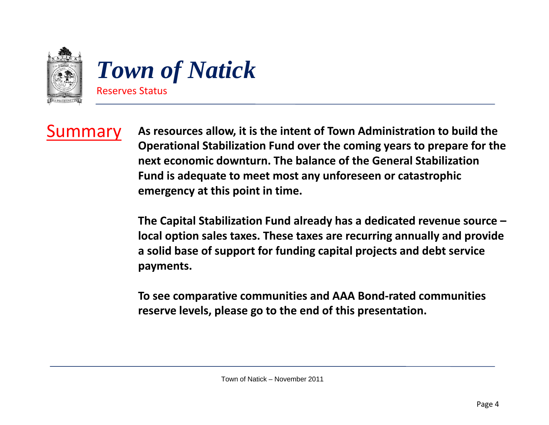

Summary **As resources allow, it is the intent of Town Administration Administrationto build the Operational Stabilization Fund over the coming years to prepare for the next economic downturn. The balance of the General StabilizationFund is adequate to meet most any unforeseen or catastrophic emergency at this point in time.**

> **The Capital Stabilization Fund already has <sup>a</sup> dedicated revenue source – local option sales taxes. These taxes are recurring annually and provide a solid base of support for funding capital projects and debt service payments.**

**To see comparative communities and AAA B d on ‐rat de communities reserve levels, please go to the end of this presentation.**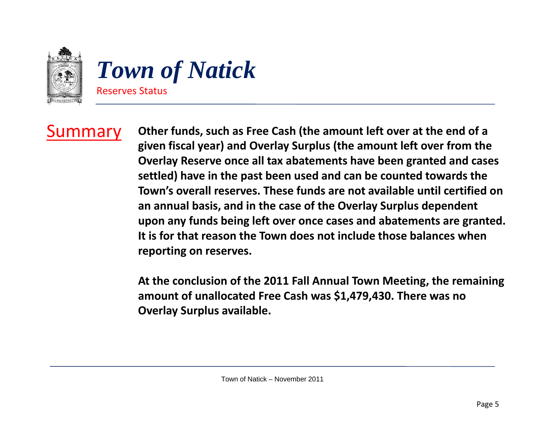

# *Tow of atic n of Natick* Reserves Status

Summary **Other funds, such as Free Cash (the amount left over at the end of <sup>a</sup> given fiscal year) and Overlay Surplus (the amount left over from the Overlay Reserve once all tax abatements have been granted and cases settled) have in the past been used and can be counted towards the Town's overall reserves. These funds are not available until certified on an annual basis, and in the case of the Overlay Surplus dependent upon any funds being left over once cases and abatements are granted. It is for that reason the Town does not include those balances when reporting on reserves.**

> **At the conclusion of the 2011 Fall Annual Town Meeting, the remaining** amount of unallocated Free Cash was \$1,479,430. There was no **Overlay Surplus available.**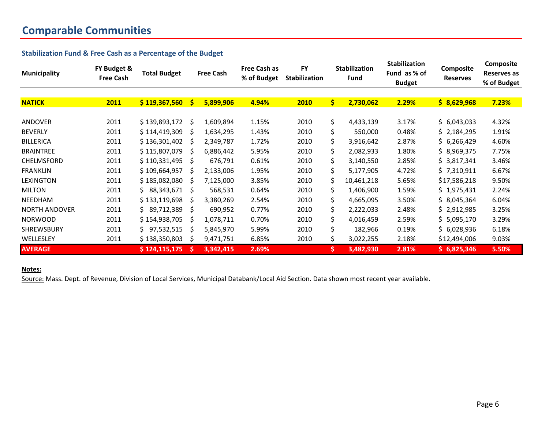### **Comparable Communities**

### **Stabilization Fund & Free Cash as <sup>a</sup> Percentage of the Budget**

| <b>Municipality</b>  | FY Budget &<br><b>Free Cash</b> | <b>Total Budget</b> |              | <b>Free Cash</b> | Free Cash as<br>% of Budget | <b>FY</b><br><b>Stabilization</b> | <b>Stabilization</b><br><b>Fund</b> |            | <b>Stabilization</b><br>Composite<br>Fund as % of<br><b>Reserves</b><br><b>Budget</b> |              | Composite<br>Reserves as<br>% of Budget |
|----------------------|---------------------------------|---------------------|--------------|------------------|-----------------------------|-----------------------------------|-------------------------------------|------------|---------------------------------------------------------------------------------------|--------------|-----------------------------------------|
| <b>NATICK</b>        | 2011                            | \$119,367,560       | <b>S</b>     | 5,899,906        | 4.94%                       | 2010                              | $\dot{\bm{s}}$                      | 2,730,062  | 2.29%                                                                                 | \$8,629,968  | 7.23%                                   |
| ANDOVER              | 2011                            | \$139,893,172       | - \$         | 1,609,894        | 1.15%                       | 2010                              | \$                                  | 4,433,139  | 3.17%                                                                                 | \$6,043,033  | 4.32%                                   |
| <b>BEVERLY</b>       | 2011                            | \$114,419,309       | -S           | 1,634,295        | 1.43%                       | 2010                              | \$                                  | 550,000    | 0.48%                                                                                 | \$2,184,295  | 1.91%                                   |
| <b>BILLERICA</b>     | 2011                            | \$136,301,402       | -S           | 2,349,787        | 1.72%                       | 2010                              | \$                                  | 3,916,642  | 2.87%                                                                                 | \$6,266,429  | 4.60%                                   |
| <b>BRAINTREE</b>     | 2011                            | \$115,807,079       | -S           | 6,886,442        | 5.95%                       | 2010                              | \$                                  | 2,082,933  | 1.80%                                                                                 | \$8,969,375  | 7.75%                                   |
| <b>CHELMSFORD</b>    | 2011                            | \$110,331,495       | -S           | 676,791          | 0.61%                       | 2010                              | \$                                  | 3,140,550  | 2.85%                                                                                 | \$3,817,341  | 3.46%                                   |
| <b>FRANKLIN</b>      | 2011                            | \$109,664,957       | Ś            | 2,133,006        | 1.95%                       | 2010                              | \$                                  | 5,177,905  | 4.72%                                                                                 | \$7,310,911  | 6.67%                                   |
| <b>LEXINGTON</b>     | 2011                            | \$185,082,080       | -S           | 7,125,000        | 3.85%                       | 2010                              | \$                                  | 10,461,218 | 5.65%                                                                                 | \$17,586,218 | 9.50%                                   |
| <b>MILTON</b>        | 2011                            | \$88,343,671        | -S           | 568,531          | 0.64%                       | 2010                              | \$                                  | 1,406,900  | 1.59%                                                                                 | \$1,975,431  | 2.24%                                   |
| <b>NEEDHAM</b>       | 2011                            | \$133,119,698       | -S           | 3,380,269        | 2.54%                       | 2010                              | \$                                  | 4,665,095  | 3.50%                                                                                 | \$8,045,364  | 6.04%                                   |
| <b>NORTH ANDOVER</b> | 2011                            | \$89,712,389        | -S           | 690,952          | 0.77%                       | 2010                              | \$                                  | 2,222,033  | 2.48%                                                                                 | \$2,912,985  | 3.25%                                   |
| <b>NORWOOD</b>       | 2011                            | \$154,938,705       | S            | 1,078,711        | 0.70%                       | 2010                              | \$                                  | 4,016,459  | 2.59%                                                                                 | \$5,095,170  | 3.29%                                   |
| <b>SHREWSBURY</b>    | 2011                            | \$97,532,515        | -S           | 5,845,970        | 5.99%                       | 2010                              | \$                                  | 182,966    | 0.19%                                                                                 | \$6,028,936  | 6.18%                                   |
| WELLESLEY            | 2011                            | \$138,350,803       | <sub>S</sub> | 9,471,751        | 6.85%                       | 2010                              | \$                                  | 3,022,255  | 2.18%                                                                                 | \$12,494,006 | 9.03%                                   |
| <b>AVERAGE</b>       |                                 | \$124,115,175       |              | 3,342,415        | 2.69%                       |                                   | \$                                  | 3,482,930  | 2.81%                                                                                 | \$6,825,346  | 5.50%                                   |

### **Notes:**

Source: Mass. Dept. of Revenue, Division of Local Services, Municipal Databank/Local Aid Section. Data shown most recent year available.